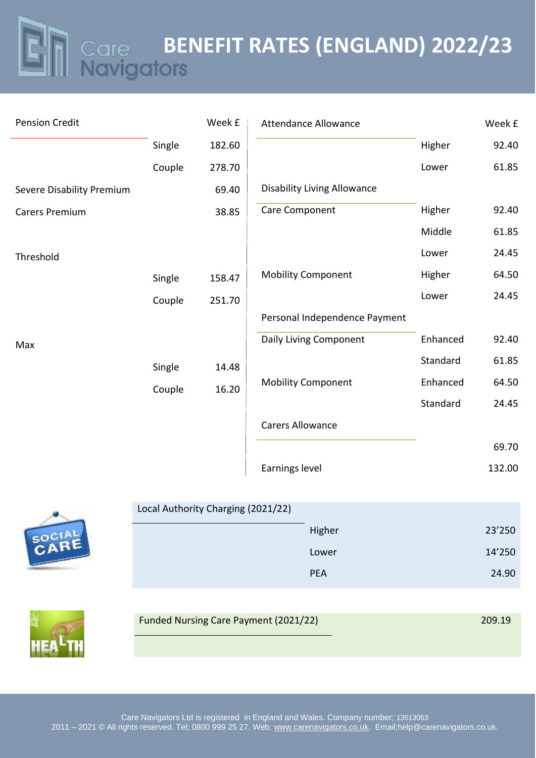**BENEFIT RATES (ENGLAND) 2022/23**

| <b>Pension Credit</b>     |        | Week £ | <b>Attendance Allowance</b>        |          | Week £ |
|---------------------------|--------|--------|------------------------------------|----------|--------|
|                           | Single | 182.60 |                                    | Higher   | 92.40  |
|                           | Couple | 278.70 |                                    | Lower    | 61.85  |
| Severe Disability Premium |        | 69.40  | <b>Disability Living Allowance</b> |          |        |
| <b>Carers Premium</b>     |        | 38.85  | Care Component                     | Higher   | 92.40  |
|                           |        |        |                                    | Middle   | 61.85  |
| Threshold                 |        |        |                                    | Lower    | 24.45  |
|                           | Single | 158.47 | <b>Mobility Component</b>          | Higher   | 64.50  |
|                           | Couple | 251.70 |                                    | Lower    | 24.45  |
|                           |        |        | Personal Independence Payment      |          |        |
| Max                       |        |        | Daily Living Component             | Enhanced | 92.40  |
|                           | Single | 14.48  |                                    | Standard | 61.85  |
|                           | Couple | 16.20  | <b>Mobility Component</b>          | Enhanced | 64.50  |
|                           |        |        |                                    | Standard | 24.45  |
|                           |        |        | <b>Carers Allowance</b>            |          |        |
|                           |        |        |                                    |          | 69.70  |
|                           |        |        | Earnings level                     |          | 132.00 |

| Local Authority Charging (2021/22) |            |        |  |
|------------------------------------|------------|--------|--|
|                                    | Higher     | 23'250 |  |
|                                    | Lower      | 14'250 |  |
|                                    | <b>PEA</b> | 24.90  |  |
|                                    |            |        |  |



A

֦֘

| <b>Funded Nursing Care Payment (2021/22)</b> | 209.19 |  |
|----------------------------------------------|--------|--|
|                                              |        |  |
|                                              |        |  |